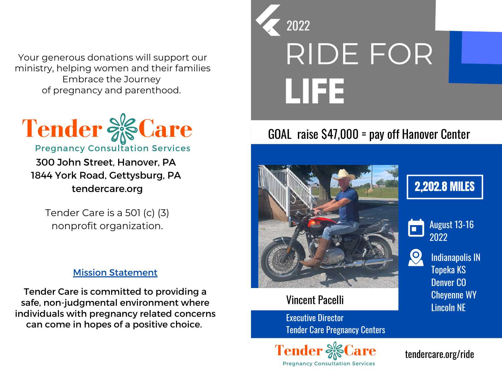Your generous donations will support our ministry, helping women and their families Embrace the Journey of pregnancy and parenthood.



300 John Street, Hanover, PA 1844 York Road, Gettysburg, PA tendercare.org

Tender Care is a 501 (c) (3) nonprofit organization.

#### Mission Statement

Tender Care is committed to providing a safe, non-judgmental environment where individuals with pregnancy related concerns can come in hopes of a positive choice.

# RIDE FOR **LIFE** 2022

#### GOAL raise \$47,000 = pay off Hanover Center



#### Vincent Pacelli

Executive Director Tender Care Pregnancy Centers



### 2,202.8 MILES



August 13-16 2022

Indianapolis IN Topeka KS Denver CO Cheyenne WY Lincoln NE

tendercare.org/ride